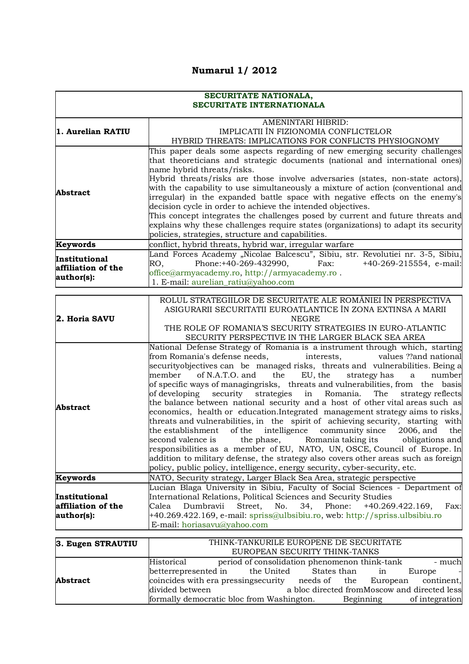## **Numarul 1/ 2012**

## **SECURITATE NATIONALA, SECURITATE INTERNATIONALA**

|                    | AMENINTARI HIBRID:                                                                                                                          |
|--------------------|---------------------------------------------------------------------------------------------------------------------------------------------|
| 1. Aurelian RATIU  | IMPLICATII ÎN FIZIONOMIA CONFLICTELOR                                                                                                       |
|                    | HYBRID THREATS: IMPLICATIONS FOR CONFLICTS PHYSIOGNOMY                                                                                      |
|                    | This paper deals some aspects regarding of new emerging security challenges                                                                 |
|                    | that theoreticians and strategic documents (national and international ones)                                                                |
|                    | name hybrid threats/risks.                                                                                                                  |
|                    | Hybrid threats/risks are those involve adversaries (states, non-state actors),                                                              |
| <b>Abstract</b>    | with the capability to use simultaneously a mixture of action (conventional and                                                             |
|                    | irregular) in the expanded battle space with negative effects on the enemy's<br>decision cycle in order to achieve the intended objectives. |
|                    | This concept integrates the challenges posed by current and future threats and                                                              |
|                    | explains why these challenges require states (organizations) to adapt its security                                                          |
|                    | policies, strategies, structure and capabilities.                                                                                           |
| Keywords           | conflict, hybrid threats, hybrid war, irregular warfare                                                                                     |
|                    | Land Forces Academy "Nicolae Balcescu", Sibiu, str. Revolutiei nr. 3-5, Sibiu,                                                              |
| Institutional      | Phone:+40-269-432990,<br>RO,<br>Fax:<br>$+40-269-215554$ , e-mail:                                                                          |
| affiliation of the | office@armyacademy.ro, http://armyacademy.ro.                                                                                               |
| author(s):         | 1. E-mail: aurelian_ratiu@yahoo.com                                                                                                         |
|                    |                                                                                                                                             |
|                    | ROLUL STRATEGIILOR DE SECURITATE ALE ROMÂNIEI ÎN PERSPECTIVA                                                                                |
|                    | ASIGURARII SECURITATII EUROATLANTICE ÎN ZONA EXTINSA A MARII                                                                                |
| 2. Horia SAVU      | <b>NEGRE</b>                                                                                                                                |
|                    | THE ROLE OF ROMANIA'S SECURITY STRATEGIES IN EURO-ATLANTIC                                                                                  |
|                    | SECURITY PERSPECTIVE IN THE LARGER BLACK SEA AREA                                                                                           |
|                    | National Defense Strategy of Romania is a instrument through which, starting                                                                |
|                    | from Romania's defense needs,<br>values ??and national<br>interests,                                                                        |
|                    | securityobjectives can be managed risks, threats and vulnerabilities. Being a<br>member<br>of N.A.T.O. and                                  |
|                    | EU, the<br>the<br>strategy has<br>number<br>a<br>of specific ways of managingrisks, threats and vulnerabilities, from the basis             |
|                    | of developing security strategies<br>Romania.<br>strategy reflects<br>in<br>The                                                             |
|                    | the balance between national security and a host of other vital areas such as                                                               |
| Abstract           | economics, health or education. Integrated management strategy aims to risks,                                                               |
|                    | threats and vulnerabilities, in the spirit of achieving security, starting with                                                             |
|                    | of the intelligence community since<br>the establishment<br>2006, and<br>the                                                                |
|                    | second valence is<br>the phase,<br>Romania taking its obligations and                                                                       |
|                    | responsibilities as a member of EU, NATO, UN, OSCE, Council of Europe. In                                                                   |
|                    | addition to military defense, the strategy also covers other areas such as foreign                                                          |
|                    | policy, public policy, intelligence, energy security, cyber-security, etc.                                                                  |
| Keywords           | NATO, Security strategy, Larger Black Sea Area, strategic perspective                                                                       |
|                    | Lucian Blaga University in Sibiu, Faculty of Social Sciences - Department of                                                                |
| Institutional      | International Relations, Political Sciences and Security Studies                                                                            |
| affiliation of the | Phone:<br>Calea<br>Dumbravii<br>Street,<br>No.<br>34,<br>+40.269.422.169,<br>Fax:                                                           |
| author(s):         | +40.269.422.169, e-mail: spriss@ulbsibiu.ro, web: http://spriss.ulbsibiu.ro                                                                 |
|                    | E-mail: horiasavu@yahoo.com                                                                                                                 |
|                    |                                                                                                                                             |
| 3. Eugen STRAUTIU  | THINK-TANKURILE EUROPENE DE SECURITATE                                                                                                      |
|                    | EUROPEAN SECURITY THINK-TANKS                                                                                                               |

|                 | <b>DOROI DIN SDCORITI THIRK-HINNIS</b>                                         |        |
|-----------------|--------------------------------------------------------------------------------|--------|
|                 | period of consolidation phenomenon think-tank<br>Historical                    | - much |
|                 | betterrepresented in<br>the United<br>States than<br>Europe<br>m               |        |
| <b>Abstract</b> | coincides with era pressing security<br>needs of the<br>continent,<br>European |        |
|                 | a bloc directed from Moscow and directed less<br>divided between               |        |
|                 | formally democratic bloc from Washington.<br>of integration<br>Beginning       |        |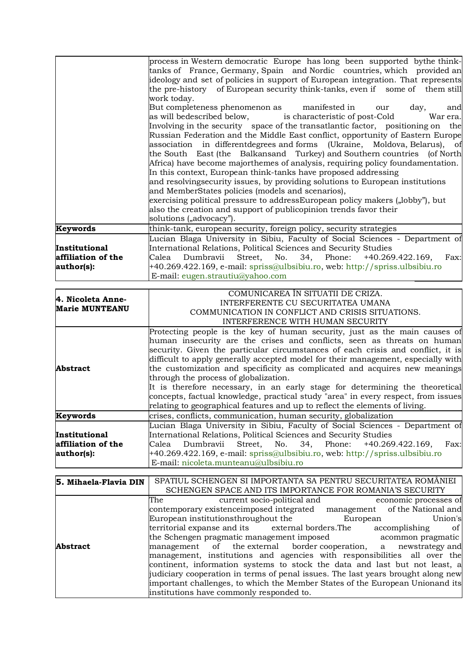|                    | tanks of France, Germany, Spain and Nordic countries, which provided an          |
|--------------------|----------------------------------------------------------------------------------|
|                    | ideology and set of policies in support of European integration. That represents |
|                    | the pre-history of European security think-tanks, even if some of them still     |
|                    | work today.                                                                      |
|                    | But completeness phenomenon as manifested in<br>day,<br>our<br>and               |
|                    | as will be described below, is characteristic of post-Cold<br>War era.           |
|                    | Involving in the security space of the transatlantic factor, positioning on the  |
|                    | Russian Federation and the Middle East conflict, opportunity of Eastern Europe   |
|                    | association in different degrees and forms (Ukraine, Moldova, Belarus), of       |
|                    | the South East (the Balkansand Turkey) and Southern countries (of North          |
|                    | Africa) have become majorthemes of analysis, requiring policy foundamentation.   |
|                    | In this context, European think-tanks have proposed addressing                   |
|                    | and resolving security issues, by providing solutions to European institutions   |
|                    | and MemberStates policies (models and scenarios),                                |
|                    | exercising political pressure to address European policy makers ("lobby"), but   |
|                    | also the creation and support of publicopinion trends favor their                |
|                    | solutions ("advocacy").                                                          |
| Keywords           | think-tank, european security, foreign policy, security strategies               |
|                    | Lucian Blaga University in Sibiu, Faculty of Social Sciences - Department of     |
| Institutional      | International Relations, Political Sciences and Security Studies                 |
| affiliation of the | Dumbravii Street, No. 34, Phone: +40.269.422.169,<br>Fax:<br>Calea               |
| author(s):         | +40.269.422.169, e-mail: spriss@ulbsibiu.ro, web: http://spriss.ulbsibiu.ro      |
|                    | E-mail: $eugen.strautiu@yahoo.com$                                               |

|                                            | COMUNICAREA ÎN SITUATII DE CRIZA.                                                 |
|--------------------------------------------|-----------------------------------------------------------------------------------|
| 4. Nicoleta Anne-<br><b>Marie MUNTEANU</b> |                                                                                   |
|                                            | INTERFERENTE CU SECURITATEA UMANA                                                 |
|                                            | COMMUNICATION IN CONFLICT AND CRISIS SITUATIONS.                                  |
|                                            | INTERFERENCE WITH HUMAN SECURITY                                                  |
|                                            | Protecting people is the key of human security, just as the main causes of        |
|                                            | human insecurity are the crises and conflicts, seen as threats on human           |
|                                            | security. Given the particular circumstances of each crisis and conflict, it is   |
|                                            | difficult to apply generally accepted model for their management, especially with |
| <b>Abstract</b>                            | the customization and specificity as complicated and acquires new meanings        |
|                                            | through the process of globalization.                                             |
|                                            | It is therefore necessary, in an early stage for determining the theoretical      |
|                                            | concepts, factual knowledge, practical study "area" in every respect, from issues |
|                                            | relating to geographical features and up to reflect the elements of living.       |
| Keywords                                   | crises, conflicts, communication, human security, globalization                   |
|                                            | Lucian Blaga University in Sibiu, Faculty of Social Sciences - Department of      |
| <b>Institutional</b>                       | International Relations, Political Sciences and Security Studies                  |
| affiliation of the                         | Calea Dumbravii Street, No. 34, Phone: +40.269.422.169, Fax:                      |
| author(s):                                 | +40.269.422.169, e-mail: spriss@ulbsibiu.ro, web: http://spriss.ulbsibiu.ro       |
|                                            | E-mail: nicoleta.munteanu@ulbsibiu.ro                                             |

| 5. Mihaela-Flavia DIN | SPATIUL SCHENGEN SI IMPORTANTA SA PENTRU SECURITATEA ROMÂNIEI                    |
|-----------------------|----------------------------------------------------------------------------------|
|                       | SCHENGEN SPACE AND ITS IMPORTANCE FOR ROMANIA'S SECURITY                         |
|                       | current socio-political and<br>The<br>economic processes of                      |
|                       | contemporary existenceimposed integrated management of the National and          |
|                       | European institutionsthroughout the<br>European<br>Union's                       |
|                       | territorial expanse and its external borders. The<br>accomplishing<br>of l       |
|                       | the Schengen pragmatic management imposed acommon pragmatic                      |
| <b>Abstract</b>       | management of the external border cooperation, a newstrategy and                 |
|                       | management, institutions and agencies with responsibilities all over the         |
|                       | continent, information systems to stock the data and last but not least, a       |
|                       | judiciary cooperation in terms of penal issues. The last years brought along new |
|                       | important challenges, to which the Member States of the European Unionand its    |
|                       | institutions have commonly responded to.                                         |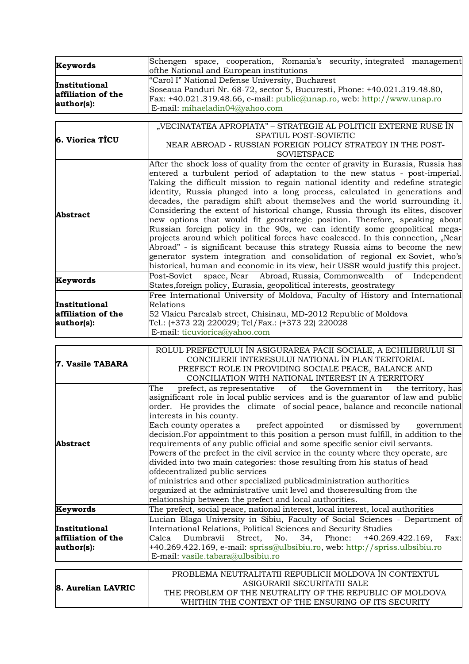| Keywords           | Schengen space, cooperation, Romania's security, integrated management<br>ofthe National and European institutions |
|--------------------|--------------------------------------------------------------------------------------------------------------------|
|                    | "Carol I" National Defense University, Bucharest                                                                   |
| Institutional      | Soseaua Panduri Nr. 68-72, sector 5, Bucuresti, Phone: +40.021.319.48.80,                                          |
| affiliation of the | Fax: $+40.021.319.48.66$ , e-mail: public@unap.ro, web: http://www.unap.ro                                         |
| author(s):         | E-mail: mihaeladin04@yahoo.com                                                                                     |
|                    |                                                                                                                    |
|                    | "VECINATATEA APROPIATA" – STRATEGIE AL POLITICII EXTERNE RUSE ÎN                                                   |
| 6. Viorica TICU    | SPATIUL POST-SOVIETIC                                                                                              |
|                    | NEAR ABROAD - RUSSIAN FOREIGN POLICY STRATEGY IN THE POST-                                                         |
|                    | <b>SOVIETSPACE</b>                                                                                                 |
|                    | After the shock loss of quality from the center of gravity in Eurasia, Russia has                                  |
|                    | entered a turbulent period of adaptation to the new status - post-imperial.                                        |
|                    | Taking the difficult mission to regain national identity and redefine strategic                                    |
|                    | identity, Russia plunged into a long process, calculated in generations and                                        |
|                    | decades, the paradigm shift about themselves and the world surrounding it.                                         |
|                    | Considering the extent of historical change, Russia through its elites, discover                                   |
| <b>Abstract</b>    | new options that would fit geostrategic position. Therefore, speaking about                                        |
|                    | Russian foreign policy in the 90s, we can identify some geopolitical mega-                                         |
|                    | projects around which political forces have coalesced. In this connection, "Near                                   |
|                    | Abroad" - is significant because this strategy Russia aims to become the new                                       |
|                    | generator system integration and consolidation of regional ex-Soviet, who's                                        |
|                    | historical, human and economic in its view, heir USSR would justify this project.                                  |
|                    |                                                                                                                    |
| <b>Keywords</b>    | space, Near Abroad, Russia, Commonwealth<br>Post-Soviet<br>of<br>Independent                                       |
|                    | States, foreign policy, Eurasia, geopolitical interests, geostrategy                                               |
|                    | Free International University of Moldova, Faculty of History and International                                     |
| Institutional      | Relations                                                                                                          |
| affiliation of the | 52 Vlaicu Parcalab street, Chisinau, MD-2012 Republic of Moldova                                                   |
| author(s):         | Tel.: (+373 22) 220029; Tel/Fax.: (+373 22) 220028                                                                 |
|                    | E-mail: ticuviorica@yahoo.com                                                                                      |
|                    |                                                                                                                    |
|                    | ROLUL PREFECTULUI ÎN ASIGURAREA PACII SOCIALE, A ECHILIBRULUI SI                                                   |
| 7. Vasile TABARA   | CONCILIERII INTERESULUI NATIONAL ÎN PLAN TERITORIAL                                                                |
|                    | PREFECT ROLE IN PROVIDING SOCIALE PEACE, BALANCE AND                                                               |
|                    | CONCILIATION WITH NATIONAL INTEREST IN A TERRITORY                                                                 |
|                    | of the Government in<br>prefect, as representative<br>the territory, has<br>The                                    |
|                    | asignificant role in local public services and is the guarantor of law and public                                  |
|                    | order. He provides the climate of social peace, balance and reconcile national                                     |
|                    | interests in his county.                                                                                           |
|                    | Each county operates a<br>prefect appointed<br>or dismissed by<br>government                                       |
|                    | decision. For appointment to this position a person must fulfill, in addition to the                               |
| <b>Abstract</b>    | requirements of any public official and some specific senior civil servants.                                       |
|                    | Powers of the prefect in the civil service in the county where they operate, are                                   |
|                    | divided into two main categories: those resulting from his status of head                                          |
|                    | ofdecentralized public services                                                                                    |
|                    | of ministries and other specialized publicadministration authorities                                               |
|                    | organized at the administrative unit level and thoseresulting from the                                             |
|                    | relationship between the prefect and local authorities.                                                            |
| Keywords           | The prefect, social peace, national interest, local interest, local authorities                                    |
|                    | Lucian Blaga University in Sibiu, Faculty of Social Sciences - Department of                                       |
| Institutional      | International Relations, Political Sciences and Security Studies                                                   |
| affiliation of the | Dumbravii<br>Street,<br>No.<br>Phone:<br>Calea<br>34,<br>$+40.269.422.169,$<br>Fax:                                |
| author(s):         | +40.269.422.169, e-mail: spriss@ulbsibiu.ro, web: http://spriss.ulbsibiu.ro                                        |
|                    | E-mail: vasile.tabara@ulbsibiu.ro                                                                                  |
|                    |                                                                                                                    |
|                    | PROBLEMA NEUTRALITATII REPUBLICII MOLDOVA ÎN CONTEXTUL                                                             |
|                    | ASIGURARII SECURITATII SALE                                                                                        |
| 8. Aurelian LAVRIC | THE PROBLEM OF THE NEUTRALITY OF THE REPUBLIC OF MOLDOVA                                                           |
|                    | WHITHIN THE CONTEXT OF THE ENSURING OF ITS SECURITY                                                                |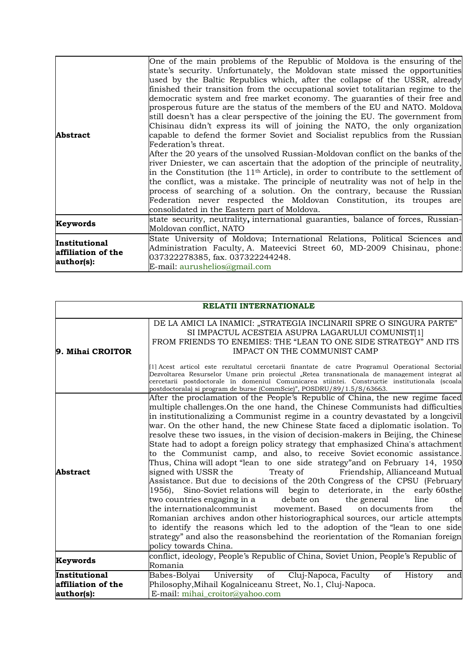| <b>Abstract</b>                                   | One of the main problems of the Republic of Moldova is the ensuring of the<br>state's security. Unfortunately, the Moldovan state missed the opportunities<br>used by the Baltic Republics which, after the collapse of the USSR, already<br>finished their transition from the occupational soviet totalitarian regime to the<br>democratic system and free market economy. The guaranties of their free and<br>prosperous future are the status of the members of the EU and NATO. Moldova<br>still doesn't has a clear perspective of the joining the EU. The government from<br>Chisinau didn't express its will of joining the NATO, the only organization<br>capable to defend the former Soviet and Socialist republics from the Russian<br>Federation's threat.<br>After the 20 years of the unsolved Russian-Moldovan conflict on the banks of the<br>river Dniester, we can ascertain that the adoption of the principle of neutrality,<br>in the Constitution (the $11th$ Article), in order to contribute to the settlement of<br>the conflict, was a mistake. The principle of neutrality was not of help in the<br>process of searching of a solution. On the contrary, because the Russian<br>Federation never respected the Moldovan Constitution, its troupes are<br>consolidated in the Eastern part of Moldova. |
|---------------------------------------------------|------------------------------------------------------------------------------------------------------------------------------------------------------------------------------------------------------------------------------------------------------------------------------------------------------------------------------------------------------------------------------------------------------------------------------------------------------------------------------------------------------------------------------------------------------------------------------------------------------------------------------------------------------------------------------------------------------------------------------------------------------------------------------------------------------------------------------------------------------------------------------------------------------------------------------------------------------------------------------------------------------------------------------------------------------------------------------------------------------------------------------------------------------------------------------------------------------------------------------------------------------------------------------------------------------------------------------------|
| Keywords                                          | state security, neutrality, international guaranties, balance of forces, Russian-<br>Moldovan conflict, NATO                                                                                                                                                                                                                                                                                                                                                                                                                                                                                                                                                                                                                                                                                                                                                                                                                                                                                                                                                                                                                                                                                                                                                                                                                       |
| Institutional<br>affiliation of the<br>author(s): | State University of Moldova; International Relations, Political Sciences and<br>Administration Faculty, A. Mateevici Street 60, MD-2009 Chisinau, phone:<br>037322278385, fax. 037322244248.<br>E-mail: aurushelios@gmail.com                                                                                                                                                                                                                                                                                                                                                                                                                                                                                                                                                                                                                                                                                                                                                                                                                                                                                                                                                                                                                                                                                                      |

|                                                   | <b>RELATII INTERNATIONALE</b>                                                                                                                                                                                                                                                                                                                                                                                                                                                                                                                                                                                                                                                                                                                                                                                                                                                                                                                                                                                                                                                                                                                                                                                                                                                                                                                |  |
|---------------------------------------------------|----------------------------------------------------------------------------------------------------------------------------------------------------------------------------------------------------------------------------------------------------------------------------------------------------------------------------------------------------------------------------------------------------------------------------------------------------------------------------------------------------------------------------------------------------------------------------------------------------------------------------------------------------------------------------------------------------------------------------------------------------------------------------------------------------------------------------------------------------------------------------------------------------------------------------------------------------------------------------------------------------------------------------------------------------------------------------------------------------------------------------------------------------------------------------------------------------------------------------------------------------------------------------------------------------------------------------------------------|--|
| 9. Mihai CROITOR                                  | DE LA AMICI LA INAMICI: "STRATEGIA INCLINARII SPRE O SINGURA PARTE"<br>SI IMPACTUL ACESTEIA ASUPRA LAGARULUI COMUNIST[1]<br>FROM FRIENDS TO ENEMIES: THE "LEAN TO ONE SIDE STRATEGY" AND ITS<br><b>IMPACT ON THE COMMUNIST CAMP</b>                                                                                                                                                                                                                                                                                                                                                                                                                                                                                                                                                                                                                                                                                                                                                                                                                                                                                                                                                                                                                                                                                                          |  |
|                                                   | [1] Acest articol este rezultatul cercetarii finantate de catre Programul Operational Sectorial<br>Dezvoltarea Resurselor Umane prin proiectul "Retea transnationala de management integrat al<br>cercetarii postdoctorale în domeniul Comunicarea stiintei. Constructie institutionala (scoala<br>postdoctorala) si program de burse (CommScie)", POSDRU/89/1.5/S/63663.                                                                                                                                                                                                                                                                                                                                                                                                                                                                                                                                                                                                                                                                                                                                                                                                                                                                                                                                                                    |  |
| Abstract                                          | After the proclamation of the People's Republic of China, the new regime faced<br>multiple challenges. On the one hand, the Chinese Communists had difficulties<br>in institutionalizing a Communist regime in a country devastated by a longcivil<br>war. On the other hand, the new Chinese State faced a diplomatic isolation. To<br>resolve these two issues, in the vision of decision-makers in Beijing, the Chinese<br>State had to adopt a foreign policy strategy that emphasized China's attachment<br>to the Communist camp, and also, to receive Soviet economic assistance.<br>Thus, China will adopt "lean to one side strategy" and on February 14, 1950<br>Treaty of Friendship, Allianceand Mutual<br>signed with USSR the<br>Assistance. But due to decisions of the 20th Congress of the CPSU (February<br>Sino-Soviet relations will begin to deteriorate, in the early 60sthe<br>1956),<br>debate on<br>two countries engaging in a<br>the general<br>line<br>Οİ<br>the internationalcommunist<br>movement. Based<br>on documents from<br>the<br>Romanian archives andon other historiographical sources, our article attempts<br>to identify the reasons which led to the adoption of the "lean to one side<br>strategy" and also the reasonsbehind the reorientation of the Romanian foreign<br>policy towards China. |  |
| Keywords                                          | conflict, ideology, People's Republic of China, Soviet Union, People's Republic of<br>Romania                                                                                                                                                                                                                                                                                                                                                                                                                                                                                                                                                                                                                                                                                                                                                                                                                                                                                                                                                                                                                                                                                                                                                                                                                                                |  |
| Institutional<br>affiliation of the<br>author(s): | of<br>Babes-Bolyai<br>University<br>Cluj-Napoca, Faculty<br>of<br>History<br>and<br>Philosophy, Mihail Kogalniceanu Street, No.1, Cluj-Napoca.<br>E-mail: mihai_croitor@yahoo.com                                                                                                                                                                                                                                                                                                                                                                                                                                                                                                                                                                                                                                                                                                                                                                                                                                                                                                                                                                                                                                                                                                                                                            |  |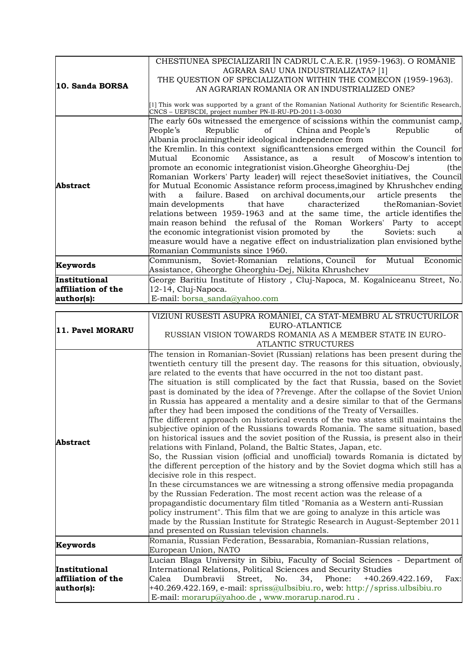| 10. Sanda BORSA                                   | CHESTIUNEA SPECIALIZARII ÎN CADRUL C.A.E.R. (1959-1963). O ROMÂNIE<br>AGRARA SAU UNA INDUSTRIALIZATA? [1]<br>THE QUESTION OF SPECIALIZATION WITHIN THE COMECON (1959-1963).<br>AN AGRARIAN ROMANIA OR AN INDUSTRIALIZED ONE?                                                                                                                                                                                                                                                                                                                                                                                                                                                                                                                                                                                                                                                                                                                                                                                                                                                                                                                     |
|---------------------------------------------------|--------------------------------------------------------------------------------------------------------------------------------------------------------------------------------------------------------------------------------------------------------------------------------------------------------------------------------------------------------------------------------------------------------------------------------------------------------------------------------------------------------------------------------------------------------------------------------------------------------------------------------------------------------------------------------------------------------------------------------------------------------------------------------------------------------------------------------------------------------------------------------------------------------------------------------------------------------------------------------------------------------------------------------------------------------------------------------------------------------------------------------------------------|
|                                                   | [1] This work was supported by a grant of the Romanian National Authority for Scientific Research,<br>CNCS - UEFISCDI, project number PN-II-RU-PD-2011-3-0030                                                                                                                                                                                                                                                                                                                                                                                                                                                                                                                                                                                                                                                                                                                                                                                                                                                                                                                                                                                    |
| <b>Abstract</b>                                   | The early 60s witnessed the emergence of scissions within the communist camp,<br>China and People's<br>People's<br>Republic<br>of<br>Republic<br>Ωt<br>Albania proclaimingtheir ideological independence from<br>the Kremlin. In this context significant tensions emerged within the Council for<br>Economic Assistance, as a result of Moscow's intention to<br>Mutual<br>promote an economic integrationist vision. Gheorghe Gheorghiu-Dej<br>(the<br>Romanian Workers' Party leader) will reject theseSoviet initiatives, the Council<br>for Mutual Economic Assistance reform process, imagined by Khrushchev ending<br>failure. Based on archival documents, our article presents<br>with<br>a<br>the<br>characterized<br>that have<br>the Romanian-Soviet<br>main developments<br>relations between 1959-1963 and at the same time, the article identifies the<br>main reason behind the refusal of the Roman Workers' Party to accept<br>the economic integrationist vision promoted by the<br>Soviets: such<br>al<br>measure would have a negative effect on industrialization plan envisioned bythe<br>Romanian Communists since 1960. |
| Keywords                                          | Communism, Soviet-Romanian relations, Council for Mutual Economic<br>Assistance, Gheorghe Gheorghiu-Dej, Nikita Khrushchev                                                                                                                                                                                                                                                                                                                                                                                                                                                                                                                                                                                                                                                                                                                                                                                                                                                                                                                                                                                                                       |
| Institutional<br>affiliation of the<br>author(s): | George Baritiu Institute of History, Cluj-Napoca, M. Kogalniceanu Street, No.<br>12-14, Cluj-Napoca.<br>E-mail: borsa_sanda@yahoo.com                                                                                                                                                                                                                                                                                                                                                                                                                                                                                                                                                                                                                                                                                                                                                                                                                                                                                                                                                                                                            |

| 11. Pavel MORARU   | VIZIUNI RUSESTI ASUPRA ROMÂNIEI, CA STAT-MEMBRU AL STRUCTURILOR                                                                                                                                                                                                                                                                                                                                                                                                                                                                                                                                                                                                                                                                                                                                                                                                                                                                                                                                                                                                                                                                                                                                                                                                                                                                                                                                                                                                                                                                                                                               |
|--------------------|-----------------------------------------------------------------------------------------------------------------------------------------------------------------------------------------------------------------------------------------------------------------------------------------------------------------------------------------------------------------------------------------------------------------------------------------------------------------------------------------------------------------------------------------------------------------------------------------------------------------------------------------------------------------------------------------------------------------------------------------------------------------------------------------------------------------------------------------------------------------------------------------------------------------------------------------------------------------------------------------------------------------------------------------------------------------------------------------------------------------------------------------------------------------------------------------------------------------------------------------------------------------------------------------------------------------------------------------------------------------------------------------------------------------------------------------------------------------------------------------------------------------------------------------------------------------------------------------------|
|                    | EURO-ATLANTICE                                                                                                                                                                                                                                                                                                                                                                                                                                                                                                                                                                                                                                                                                                                                                                                                                                                                                                                                                                                                                                                                                                                                                                                                                                                                                                                                                                                                                                                                                                                                                                                |
|                    | RUSSIAN VISION TOWARDS ROMANIA AS A MEMBER STATE IN EURO-                                                                                                                                                                                                                                                                                                                                                                                                                                                                                                                                                                                                                                                                                                                                                                                                                                                                                                                                                                                                                                                                                                                                                                                                                                                                                                                                                                                                                                                                                                                                     |
|                    | <b>ATLANTIC STRUCTURES</b>                                                                                                                                                                                                                                                                                                                                                                                                                                                                                                                                                                                                                                                                                                                                                                                                                                                                                                                                                                                                                                                                                                                                                                                                                                                                                                                                                                                                                                                                                                                                                                    |
| <b>Abstract</b>    | The tension in Romanian-Soviet (Russian) relations has been present during the<br>twentieth century till the present day. The reasons for this situation, obviously,<br>are related to the events that have occurred in the not too distant past.<br>The situation is still complicated by the fact that Russia, based on the Soviet<br>past is dominated by the idea of ?? revenge. After the collapse of the Soviet Union<br>in Russia has appeared a mentality and a desire similar to that of the Germans<br>after they had been imposed the conditions of the Treaty of Versailles.<br>The different approach on historical events of the two states still maintains the<br>subjective opinion of the Russians towards Romania. The same situation, based<br>on historical issues and the soviet position of the Russia, is present also in their<br>relations with Finland, Poland, the Baltic States, Japan, etc.<br>So, the Russian vision (official and unofficial) towards Romania is dictated by<br>the different perception of the history and by the Soviet dogma which still has a<br>decisive role in this respect.<br>In these circumstances we are witnessing a strong offensive media propaganda<br>by the Russian Federation. The most recent action was the release of a<br>propagandistic documentary film titled "Romania as a Western anti-Russian<br>policy instrument". This film that we are going to analyze in this article was<br>made by the Russian Institute for Strategic Research in August-September 2011<br>and presented on Russian television channels. |
|                    | Romania, Russian Federation, Bessarabia, Romanian-Russian relations,                                                                                                                                                                                                                                                                                                                                                                                                                                                                                                                                                                                                                                                                                                                                                                                                                                                                                                                                                                                                                                                                                                                                                                                                                                                                                                                                                                                                                                                                                                                          |
| Keywords           | European Union, NATO                                                                                                                                                                                                                                                                                                                                                                                                                                                                                                                                                                                                                                                                                                                                                                                                                                                                                                                                                                                                                                                                                                                                                                                                                                                                                                                                                                                                                                                                                                                                                                          |
|                    | Lucian Blaga University in Sibiu, Faculty of Social Sciences - Department of                                                                                                                                                                                                                                                                                                                                                                                                                                                                                                                                                                                                                                                                                                                                                                                                                                                                                                                                                                                                                                                                                                                                                                                                                                                                                                                                                                                                                                                                                                                  |
| Institutional      | International Relations, Political Sciences and Security Studies                                                                                                                                                                                                                                                                                                                                                                                                                                                                                                                                                                                                                                                                                                                                                                                                                                                                                                                                                                                                                                                                                                                                                                                                                                                                                                                                                                                                                                                                                                                              |
| affiliation of the | Calea<br>Dumbravii<br>Street,<br>No.<br>34, Phone:<br>$+40.269.422.169,$<br>Fax:                                                                                                                                                                                                                                                                                                                                                                                                                                                                                                                                                                                                                                                                                                                                                                                                                                                                                                                                                                                                                                                                                                                                                                                                                                                                                                                                                                                                                                                                                                              |
| author(s):         | +40.269.422.169, e-mail: spriss@ulbsibiu.ro, web: http://spriss.ulbsibiu.ro                                                                                                                                                                                                                                                                                                                                                                                                                                                                                                                                                                                                                                                                                                                                                                                                                                                                                                                                                                                                                                                                                                                                                                                                                                                                                                                                                                                                                                                                                                                   |
|                    | E-mail: morarup@yahoo.de, www.morarup.narod.ru.                                                                                                                                                                                                                                                                                                                                                                                                                                                                                                                                                                                                                                                                                                                                                                                                                                                                                                                                                                                                                                                                                                                                                                                                                                                                                                                                                                                                                                                                                                                                               |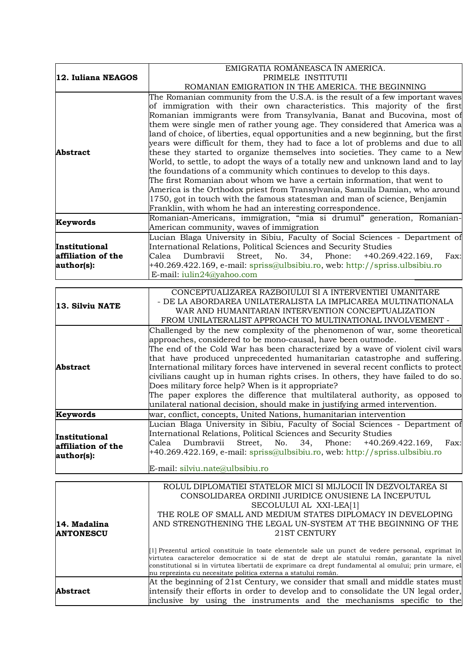|                    | EMIGRATIA ROMÂNEASCA ÎN AMERICA.                                                                   |
|--------------------|----------------------------------------------------------------------------------------------------|
| 12. Iuliana NEAGOS | PRIMELE INSTITUTII                                                                                 |
|                    | ROMANIAN EMIGRATION IN THE AMERICA. THE BEGINNING                                                  |
|                    | The Romanian community from the U.S.A. is the result of a few important waves                      |
|                    | of immigration with their own characteristics. This majority of the first                          |
|                    | Romanian immigrants were from Transylvania, Banat and Bucovina, most of                            |
|                    | them were single men of rather young age. They considered that America was a                       |
|                    | land of choice, of liberties, equal opportunities and a new beginning, but the first               |
|                    | years were difficult for them, they had to face a lot of problems and due to all                   |
| <b>Abstract</b>    | these they started to organize themselves into societies. They came to a New                       |
|                    | World, to settle, to adopt the ways of a totally new and unknown land and to lay                   |
|                    | the foundations of a community which continues to develop to this days.                            |
|                    | The first Romanian about whom we have a certain information, that went to                          |
|                    | America is the Orthodox priest from Transylvania, Samuila Damian, who around                       |
|                    | 1750, got in touch with the famous statesman and man of science, Benjamin                          |
|                    | Franklin, with whom he had an interesting correspondence.                                          |
|                    | Romanian-Americans, immigration, "mia si drumul" generation, Romanian-                             |
| Keywords           | American community, waves of immigration                                                           |
|                    | Lucian Blaga University in Sibiu, Faculty of Social Sciences - Department of                       |
| Institutional      | International Relations, Political Sciences and Security Studies                                   |
| affiliation of the | Dumbravii<br>Calea<br>Street,<br>No.<br>34,<br>Phone:<br>+40.269.422.169,<br>Fax:                  |
| author(s):         | +40.269.422.169, e-mail: spriss@ulbsibiu.ro, web: http://spriss.ulbsibiu.ro                        |
|                    | E-mail: iulin24@yahoo.com                                                                          |
|                    |                                                                                                    |
|                    | CONCEPTUALIZAREA RAZBOIULUI SI A INTERVENTIEI UMANITARE                                            |
|                    | - DE LA ABORDAREA UNILATERALISTA LA IMPLICAREA MULTINATIONALA                                      |
| 13. Silviu NATE    | WAR AND HUMANITARIAN INTERVENTION CONCEPTUALIZATION                                                |
|                    | FROM UNILATERALIST APPROACH TO MULTINATIONAL INVOLVEMENT -                                         |
|                    | Challenged by the new complexity of the phenomenon of war, some theoretical                        |
|                    | approaches, considered to be mono-causal, have been outmode.                                       |
|                    | The end of the Cold War has been characterized by a wave of violent civil wars                     |
|                    | that have produced unprecedented humanitarian catastrophe and suffering.                           |
| <b>Abstract</b>    | International military forces have intervened in several recent conflicts to protect               |
|                    | civilians caught up in human rights crises. In others, they have failed to do so.                  |
|                    | Does military force help? When is it appropriate?                                                  |
|                    | The paper explores the difference that multilateral authority, as opposed to                       |
|                    | unilateral national decision, should make in justifying armed intervention.                        |
| <b>Keywords</b>    | war, conflict, concepts, United Nations, humanitarian intervention                                 |
|                    | Lucian Blaga University in Sibiu, Faculty of Social Sciences - Department of                       |
| Institutional      | International Relations, Political Sciences and Security Studies                                   |
| affiliation of the | Dumbravii<br>Street,<br>No.<br>34, Phone:<br>$+40.269.422.169,$<br>Calea<br>Fax:                   |
| author(s):         | +40.269.422.169, e-mail: spriss@ulbsibiu.ro, web: http://spriss.ulbsibiu.ro                        |
|                    |                                                                                                    |
|                    | E-mail: silviu.nate@ulbsibiu.ro                                                                    |
|                    |                                                                                                    |
|                    | ROLUL DIPLOMATIEI STATELOR MICI SI MIJLOCII ÎN DEZVOLTAREA SI                                      |
|                    | CONSOLIDAREA ORDINII JURIDICE ONUSIENE LA ÎNCEPUTUL                                                |
|                    | SECOLULUI AL XXI-LEA[1]                                                                            |
|                    | THE ROLE OF SMALL AND MEDIUM STATES DIPLOMACY IN DEVELOPING                                        |
| 14. Madalina       | AND STRENGTHENING THE LEGAL UN-SYSTEM AT THE BEGINNING OF THE                                      |
| <b>ANTONESCU</b>   | 21ST CENTURY                                                                                       |
|                    |                                                                                                    |
|                    | [1] Prezentul articol constituie în toate elementele sale un punct de vedere personal, exprimat în |

|          | $\parallel$ i Prezentui articoi constituie in toate elementele sale un punct de vedere personal, exprimat in |
|----------|--------------------------------------------------------------------------------------------------------------|
|          | virtutea caracterelor democratice si de stat de drept ale statului român, garantate la nivel                 |
|          | constitutional si în virtutea libertatii de exprimare ca drept fundamental al omului; prin urmare, el        |
|          | nu reprezinta cu necesitate politica externa a statului român.                                               |
|          | At the beginning of 21st Century, we consider that small and middle states must                              |
| Abstract | intensify their efforts in order to develop and to consolidate the UN legal order,                           |
|          | inclusive by using the instruments and the mechanisms specific to the                                        |